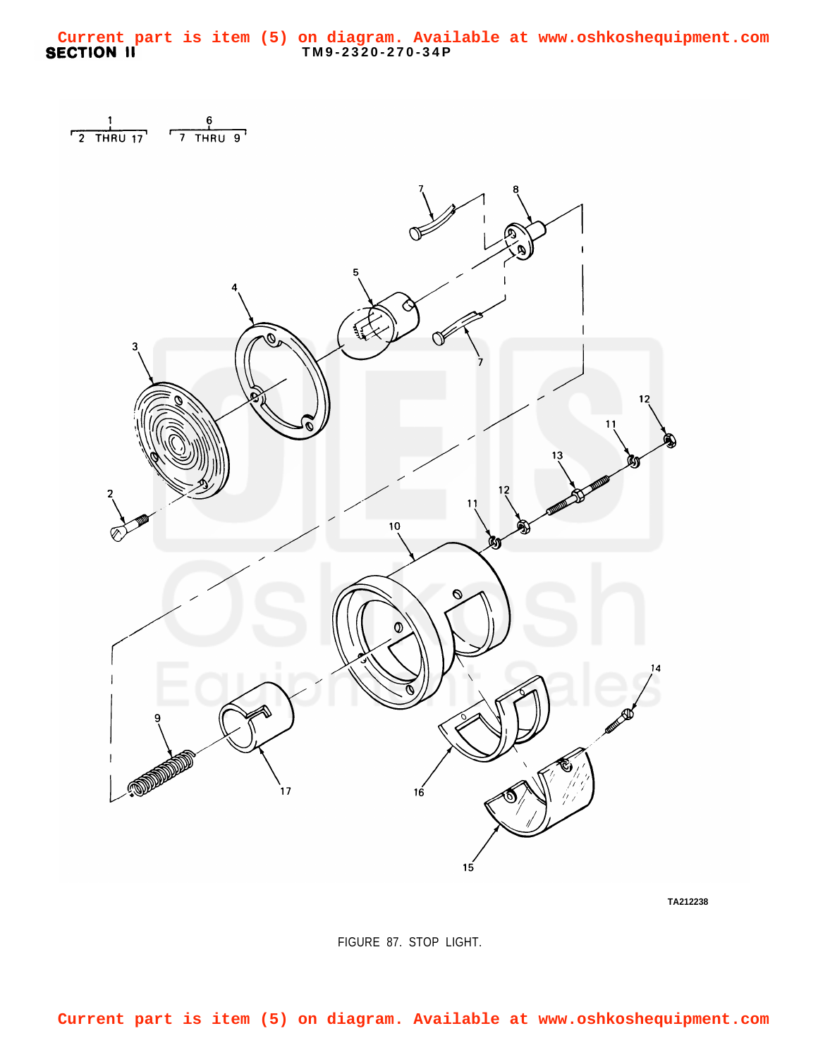<span id="page-0-0"></span>**TM9-2320-270-34P Current part is item (5) on diagram. Available at www.oshkoshequipment.com**





**TA212238**

FIGURE 87. STOP LIGHT.

**Current part is item (5) on diagram. Available at www.oshkoshequipment.com**